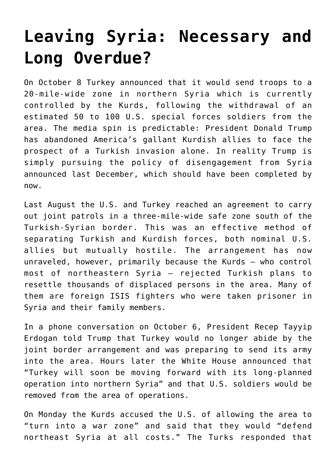## **[Leaving Syria: Necessary and](https://intellectualtakeout.org/2019/10/leaving-syria-necessary-and-long-overdue/) [Long Overdue?](https://intellectualtakeout.org/2019/10/leaving-syria-necessary-and-long-overdue/)**

On October 8 Turkey announced that it would send troops to a 20-mile-wide zone in northern Syria which is currently controlled by the Kurds, following the withdrawal of an estimated 50 to 100 U.S. special forces soldiers from the area. The media spin is predictable: President Donald Trump has abandoned America's gallant Kurdish allies to face the prospect of a Turkish invasion alone. In reality Trump is simply pursuing the policy of disengagement from Syria announced last December, which should have been completed by now.

Last August the U.S. and Turkey reached an agreement to carry out joint patrols in a three-mile-wide safe zone south of the Turkish-Syrian border. This was an effective method of separating Turkish and Kurdish forces, both nominal U.S. allies but mutually hostile. The arrangement has now unraveled, however, primarily because the Kurds – who control most of northeastern Syria – rejected Turkish plans to resettle thousands of displaced persons in the area. Many of them are foreign ISIS fighters who were taken prisoner in Syria and their family members.

In a phone conversation on October 6, President Recep Tayyip Erdogan told Trump that Turkey would no longer abide by the joint border arrangement and was preparing to send its army into the area. Hours later the White House announced that "Turkey will soon be moving forward with its long-planned operation into northern Syria" and that U.S. soldiers would be removed from the area of operations.

On Monday the Kurds accused the U.S. of allowing the area to "turn into a war zone" and said that they would "defend northeast Syria at all costs." The Turks responded that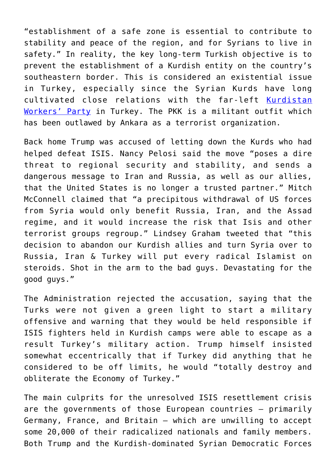"establishment of a safe zone is essential to contribute to stability and peace of the region, and for Syrians to live in safety." In reality, the key long-term Turkish objective is to prevent the establishment of a Kurdish entity on the country's southeastern border. This is considered an existential issue in Turkey, especially since the Syrian Kurds have long cultivated close relations with the far-left [Kurdistan](https://en.wikipedia.org/wiki/Kurdistan_Workers%27_Party) [Workers' Party](https://en.wikipedia.org/wiki/Kurdistan_Workers%27_Party) in Turkey. The PKK is a militant outfit which has been outlawed by Ankara as a terrorist organization.

Back home Trump was accused of letting down the Kurds who had helped defeat ISIS. Nancy Pelosi said the move "poses a dire threat to regional security and stability, and sends a dangerous message to Iran and Russia, as well as our allies, that the United States is no longer a trusted partner." Mitch McConnell claimed that "a precipitous withdrawal of US forces from Syria would only benefit Russia, Iran, and the Assad regime, and it would increase the risk that Isis and other terrorist groups regroup." Lindsey Graham tweeted that "this decision to abandon our Kurdish allies and turn Syria over to Russia, Iran & Turkey will put every radical Islamist on steroids. Shot in the arm to the bad guys. Devastating for the good guys."

The Administration rejected the accusation, saying that the Turks were not given a green light to start a military offensive and warning that they would be held responsible if ISIS fighters held in Kurdish camps were able to escape as a result Turkey's military action. Trump himself insisted somewhat eccentrically that if Turkey did anything that he considered to be off limits, he would "totally destroy and obliterate the Economy of Turkey."

The main culprits for the unresolved ISIS resettlement crisis are the governments of those European countries – primarily Germany, France, and Britain – which are unwilling to accept some 20,000 of their radicalized nationals and family members. Both Trump and the Kurdish-dominated Syrian Democratic Forces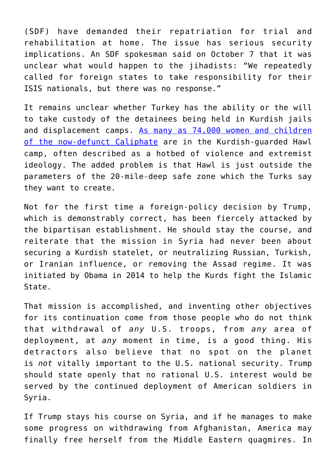(SDF) have demanded their repatriation for trial and rehabilitation at home. The issue has serious security implications. An SDF spokesman said on October 7 that it was unclear what would happen to the jihadists: "We repeatedly called for foreign states to take responsibility for their ISIS nationals, but there was no response."

It remains unclear whether Turkey has the ability or the will to take custody of the detainees being held in Kurdish jails and displacement camps. [As many as 74,000 women and children](https://www.theguardian.com/world/2019/oct/07/us-withdrawal-from-syria-leaves-fate-of-isis-fighters-and-families-in-detention-uncertain) [of the now-defunct Caliphate](https://www.theguardian.com/world/2019/oct/07/us-withdrawal-from-syria-leaves-fate-of-isis-fighters-and-families-in-detention-uncertain) are in the Kurdish-guarded Hawl camp, often described as a hotbed of violence and extremist ideology. The added problem is that Hawl is just outside the parameters of the 20-mile-deep safe zone which the Turks say they want to create.

Not for the first time a foreign-policy decision by Trump, which is demonstrably correct, has been fiercely attacked by the bipartisan establishment. He should stay the course, and reiterate that the mission in Syria had never been about securing a Kurdish statelet, or neutralizing Russian, Turkish, or Iranian influence, or removing the Assad regime. It was initiated by Obama in 2014 to help the Kurds fight the Islamic State.

That mission is accomplished, and inventing other objectives for its continuation come from those people who do not think that withdrawal of *any* U.S. troops, from *any* area of deployment, at *any* moment in time, is a good thing. His detractors also believe that no spot on the planet is *not* vitally important to the U.S. national security. Trump should state openly that no rational U.S. interest would be served by the continued deployment of American soldiers in Syria.

If Trump stays his course on Syria, and if he manages to make some progress on withdrawing from Afghanistan, America may finally free herself from the Middle Eastern quagmires. In